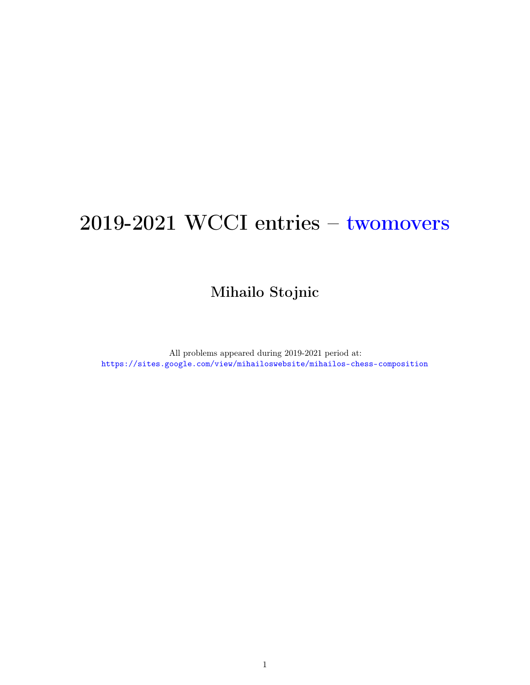# 2019-2021 WCCI entries – twomovers

Mihailo Stojnic

All problems appeared during 2019-2021 period at: <https://sites.google.com/view/mihailoswebsite/mihailos-chess-composition>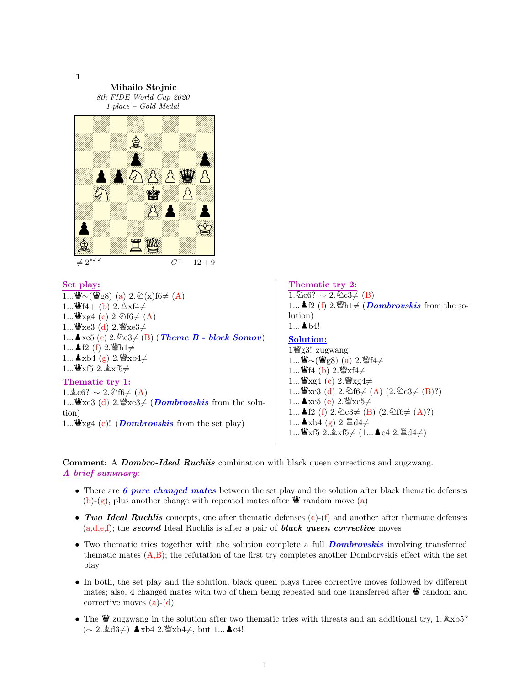1

Mihailo Stojnic 8th FIDE World Cup 2020 1.place – Gold Medal



## Set play:

 $1...$ *\*wvv(\\\geed{\sumpsilong} (a) 2. 2(x)f6  $\neq$  (A) 1... $\mathbf{\ddot{W}}$ f4+ (b) 2.  $\Delta$ xf4 $\neq$ 1... $\mathbf{\ddot{W}}$ xg4 (c) 2.  $\mathbf{\hat{\otimes}}$ f6 $\neq$  (A) 1... $\mathbf{\ddot{W}}$ xe3 (d) 2. $\mathbf{\ddot{W}}$ xe3 $\neq$ 1... **A**xe5 (e) 2.  $\&2 \notin (B)$  (*Theme B - block Somov*) 1... **▲**f2 (f) 2.  $\mathbf{W}$ h1≠  $1...$  Δ xb4 (g)  $2.\mathcal{W}$ xb4≠  $1...$  Wexf5 2.  $\&$  xf5 $\neq$ Thematic try 1:  $1.\&c6? \sim 2.\&f6\neq (A)$ 

1... $\mathbf{\ddot{w}}$ xe3 (d) 2. $\mathbf{\ddot{w}}$ xe3 $\neq$  (*Dombrovskis* from the solution) 1... $\mathbf{\ddot{w}}$ xg4 (c)! (*Dombrovskis* from the set play)

Thematic try 2:  $1.\overline{2c6?} \sim 2.\overline{2c3} \neq (B)$ 1... **A** f2 (f) 2.  $\ddot{\mathbf{w}}$ h1 $\neq$  (*Dombrovskis* from the solution)  $1...$   $b4!$ Solution: 1 $\frac{w}{g}$ g3! zugwang  $1...$  $\mathbf{\ddot{W}} \sim (\mathbf{\ddot{W}} g8)$  (a)  $2.\mathbf{\ddot{W}} f4 \neq$ 1... $\mathbf{\ddot{W}}$ f4 (b) 2. $\mathbf{\ddot{W}}$ xf4 $\neq$ 1... $\mathbf{\ddot{w}}$ xg4 (c) 2. $\mathbf{\ddot{w}}$ xg4 $\neq$ 1... $\mathbf{\ddot{W}}$ xe3 (d) 2. $\mathbf{\&}$ f6 $\neq$  (A) (2. $\mathbf{\&}$ c3 $\neq$  (B)?) 1...  $\clubsuit$ xe5 (e) 2. $\degree$ xe5 $\neq$ 1... **A** f2 (f)  $2.\&2\&3\neq$  (B)  $(2.\&266\neq$  (A)?)  $1...$   $\blacktriangle$  xb4 (g) 2.  $\mathbb{Z}$  d4 $\neq$ 1...₩xf5 2. $\&xf5 \neq (1... \triangle c4 \ 2.\triangle d4 \neq)$ 

**Comment:** A *Dombro-Ideal Ruchlis* combination with black queen corrections and zugzwang. A brief summary:

- There are 6 pure changed mates between the set play and the solution after black thematic defenses (b)-(g), plus another change with repeated mates after  $\ddot{\mathbf{w}}$  random move (a)
- Two Ideal Ruchlis concepts, one after thematic defenses  $(c)$ - $(f)$  and another after thematic defenses  $(a,d,e,f)$ ; the second Ideal Ruchlis is after a pair of **black queen corrective** moves
- Two thematic tries together with the solution complete a full *Dombrovskis* involving transferred thematic mates  $(A,B)$ ; the refutation of the first try completes another Domborvskis effect with the set play
- In both, the set play and the solution, black queen plays three corrective moves followed by different mates; also, 4 changed mates with two of them being repeated and one transferred after  $\mathbf{\mathbf{\Psi}}$  random and corrective moves  $(a)-(d)$
- The  $\mathbf{W}$  zugzwang in the solution after two thematic tries with threats and an additional try, 1. $\&$ xb5? (∼ 2. **a**d3≠) **A**xb4 2. <sup>w</sup>/<sub>3</sub>xb4≠, but 1... **A**c4!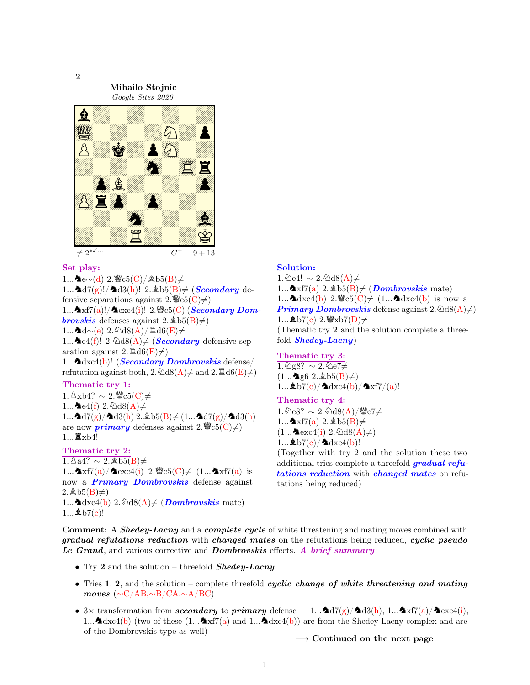

Mihailo Stojnic



#### Set play:

1... $\blacktriangle$ e∼(d) 2. $\blacktriangleright$ e $\ltimes$ (C)/ $\triangleq$ b5(B)≠ 1... $\Delta d7(g)!/\Delta d3(h)!$  2.  $\Delta b5(B) \neq$  (*Secondary* defensive separations against  $2.\mathcal{W}\in\mathcal{5}(\mathcal{C})\neq\mathcal{C}$ 1... $\Delta x f7(a)!/\Delta \text{exc}(1)!$  2.  $\mathcal{C}_c(G)$  (Secondary Dom**brovskis** defenses against  $2.\&b5(B)\neq0$  $1...$  $\blacktriangleleft$ d∼(e) 2. $\triangleq$ d8(A)/ $\Xi$ d6(E)≠ 1... **L**e4(f)! 2.  $\triangle$ d8(A)  $\neq$  (**Secondary** defensive separation against  $2.\mathbb{Z}\text{d}6(E)\neq$ 1... $\Delta \text{dxc4(b)}$ ! (*Secondary Dombrovskis* defense/ refutation against both,  $2.\text{Qd8}(A) \neq$  and  $2.\text{Zd6}(E) \neq 0$ Thematic try 1:  $1.\,\&\,\text{xb4?}~\sim 2.\,\text{Wc5(C)}\neq$ 1... $\blacktriangle$ e4(f) 2. $\triangle$ d8(A) $\neq$ 1... $\Delta d7(g)/\Delta d3(h)$  2.  $\Delta b5(B) \neq (1... \Delta d7(g)/\Delta d3(h))$ are now **primary** defenses against  $2.\mathscr{C}\text{C}(\mathrm{C})\neq0$  $1...$   $\mathbb{Z}$ <sub>x</sub>b4! Thematic try 2:  $1.\overline{\&\,\mathrm{a4?}\sim 2.\,\&\,\mathrm{b5(B)}}\neq$ 1... $\Delta \text{xf7(a)}/\Delta \text{exc4(i)}$  2.  $\mathscr{C}(\text{C}) \neq (1...\Delta \text{xf7(a)}$  is now a **Primary Dombrovskis** defense against 2.  $\&\text{b5(B)}\neq$ 

1...  $\Delta dxc4(b)$  2.  $\Delta d8(A) \neq (Dombrovskis \text{ mate})$  $1...$  \$b7(c)!

## Solution:

 $1.\text{\textdegree}$ e4! ∼ 2. $\text{\textdegree}$ d8(A)≠ 1... $\blacktriangle$ xf7(a) 2. $\triangleq$ b5(B) $\neq$  (*Dombrovskis* mate) 1... $\Delta dxc4(b)$  2.  $\mathscr{C}5(C) \neq (1... \Delta dxc4(b))$  is now a **Primary Dombrovskis** defense against  $2.\textcircled{d}8(A)\neq$ 1...  $\&b7(c)$  2.  $\&b7(D) \neq$ (Thematic try 2 and the solution complete a threefold  $Shedey-Lacny$ 

Thematic try 3:

 $1.\text{\textdegreeled{2}}\approx 2.\text{\textdegreeled{2}}\neq 1.$  $(1...$   $\bullet$  g6 2.  $\&$  b5(B) $\neq$ )  $1...\Delta b7(c)/\Delta dxc4(b)/\Delta xf7/(a)!$ Thematic try 4:  $1.\text{\textdegree$\triangleleft}$  2.  $\text{\textdegree$\triangleleft}$  d8(A)/ $\text{\textdegreeled{\%}}$ c7≠ 1... $\Delta x f7(a)$  2.  $\Delta b5(B) \neq$  $(1...\triangleleft \csc(4i) 2.\triangleleft 8(A)\neq)$ 1... $\Delta b7(c)/\Delta dxc4(b)!$ (Together with try 2 and the solution these two additional tries complete a threefold **gradual refu**tations reduction with changed mates on refutations being reduced)

Comment: A *Shedey-Lacny* and a *complete cycle* of white threatening and mating moves combined with gradual refutations reduction with changed mates on the refutations being reduced, cyclic pseudo Le Grand, and various corrective and Dombrovskis effects. A brief summary:

- Try 2 and the solution threefold  $Shedey\text{-}Lacny$
- Tries 1, 2, and the solution complete threefold cyclic change of white threatening and mating moves (∼C/AB,∼B/CA,∼A/BC)
- 3× transformation from secondary to primary defense  $-1...$   $\Delta d7(g)/\Delta d3(h)$ , 1... $\Delta x f7(a)/\Delta e$  xc4(i), 1... $\Delta d \text{xc4}(b)$  (two of these  $(1... \Delta x f7(a))$  and  $1... \Delta d \text{xc4}(b)$ ) are from the Shedey-Lacny complex and are of the Dombrovskis type as well)

 $\rightarrow$  Continued on the next page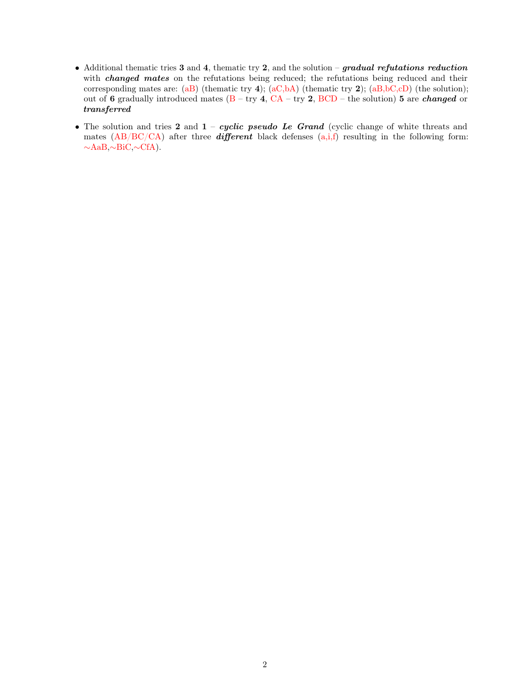- Additional thematic tries  $3$  and  $4$ , thematic try  $2$ , and the solution gradual refutations reduction with *changed mates* on the refutations being reduced; the refutations being reduced and their corresponding mates are: (aB) (thematic try 4); (aC,bA) (thematic try 2); (aB,bC,cD) (the solution); out of 6 gradually introduced mates  $(B - try 4, CA - try 2, BCD - the solution)$  5 are *changed* or transferred
- The solution and tries 2 and  $1 cyclic$  pseudo Le Grand (cyclic change of white threats and mates  $(AB/BC/CA)$  after three *different* black defenses  $(a,i,f)$  resulting in the following form: ∼AaB,∼BiC,∼CfA).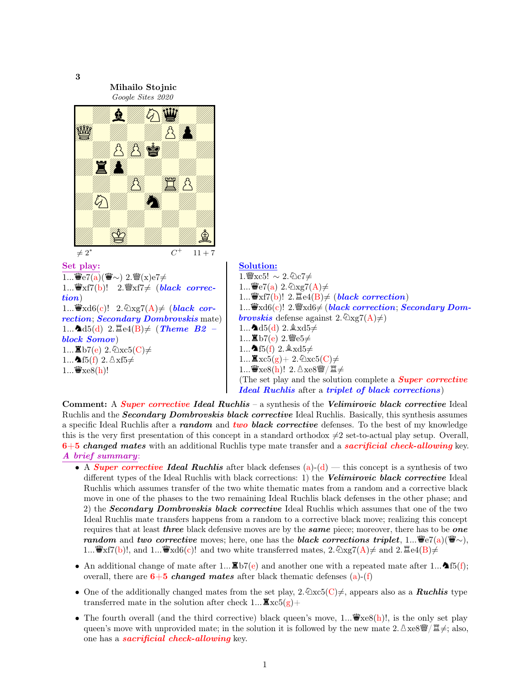Google Sites 2020 E ZAPOK 0Z0O0SPZ ZNZ0m0Z0 0Z0Z0Z0Z William Party William B  $\neq 2^*$   $C^+$  $11 + 7$ Set play:  $1...\mathbf{\ddot{W}}e7(a)(\mathbf{\ddot{W}}\sim) 2.\mathbf{\ddot{W}}(x)e7\neq$ 1... $\mathbf{\ddot{W}}$ xf7(b)! 2. $\mathbf{\ddot{W}}$ xf7 $\neq$  (black correction) 1... $\ddot{\mathbf{\Psi}}$ xd6(c)! 2. $\hat{\mathbb{Q}}$ xg7(A) $\neq$  (black correction; Secondary Dombrovskis mate) 1...  $\Delta d5(d)$  2.  $\Xi$ e4(B)  $\neq$  (Theme B2 – block Somov) 1...  $\mathbf{\Xi}$ b7(e) 2. $\mathbf{\Im}xc5(C) \neq$ 1... $\triangleq$ f5(f) 2.  $\triangleq$ xf5 $\neq$  $1...\n *w*xe8(h)!$ Solution: 1.  $\mathscr{W}$ xc5! ∼ 2. ⊘c7≠  $1...\mathbf{\ddot{W}}e7(a)$   $2.\mathcal{Q}_{Xg7}(A) \neq$ 1... $\mathbf{\ddot{W}}$ xf7(b)! 2. $\mathbf{\ddot{\Xi}}$ e4(B) $\neq$  (black correction) 1... $\mathbf{\Psi}_{\text{Xd6}}(c)$ ! 2. $\mathbf{\Psi}_{\text{Xd6}}\neq (black\,\,correction;\,Secondary\,\,Dom$ **brovskis** defense against  $2.\overline{\otimes} \text{Xg7}(A) \neq 0$ 1... $\triangle 45(d)$  2.  $\triangle x d5 \neq$  $1...$ 置b7(e)  $2.\n$ se5 $\neq$ 1...  $\triangle 15(f)$  2.  $\triangle xd5 \neq$ 1... $\mathbf{\Xi} \text{xc5(g)} + 2.\mathbf{\&} \text{xc5(C)} \neq$  $1...$ 曾xe8(h)!  $2.\triangle$ xe8曾/ $E \neq$ (The set play and the solution complete a **Super corrective** Ideal Ruchlis after a triplet of black corrections)

Comment: A Super corrective Ideal Ruchlis – a synthesis of the Velimirovic black corrective Ideal Ruchlis and the **Secondary Dombrovskis black corrective** Ideal Ruchlis. Basically, this synthesis assumes a specific Ideal Ruchlis after a random and two black corrective defenses. To the best of my knowledge this is the very first presentation of this concept in a standard orthodox  $\neq 2$  set-to-actual play setup. Overall,  $6+5$  changed mates with an additional Ruchlis type mate transfer and a sacrificial check-allowing key. A brief summary:

- A *Super corrective Ideal Ruchlis* after black defenses  $(a)-(d)$  this concept is a synthesis of two different types of the Ideal Ruchlis with black corrections: 1) the Velimirovic black corrective Ideal Ruchlis which assumes transfer of the two white thematic mates from a random and a corrective black move in one of the phases to the two remaining Ideal Ruchlis black defenses in the other phase; and 2) the **Secondary Dombrovskis black corrective** Ideal Ruchlis which assumes that one of the two Ideal Ruchlis mate transfers happens from a random to a corrective black move; realizing this concept requires that at least *three* black defensive moves are by the *same* piece; moreover, there has to be *one* random and two corrective moves; here, one has the black corrections triplet, 1... $\mathscr{L}_2(\mathbf{a})(\mathscr{L}_\sim)$ , 1... $\mathbf{\Psi}$ xf7(b)!, and 1... $\mathbf{\Psi}$ xd6(c)! and two white transferred mates, 2. $\mathcal{D}$ xg7(A) $\neq$  and 2. $\mathbb{E}$ e4(B) $\neq$
- An additional change of mate after 1...  $\mathbb{E}b7(e)$  and another one with a repeated mate after 1...  $\blacktriangle 15(f)$ ; overall, there are  $6+5$  changed mates after black thematic defenses (a)-(f)
- One of the additionally changed mates from the set play,  $2.\&\text{xc5}(C) \neq 0$ , appears also as a **Ruchlis** type transferred mate in the solution after check  $1...$ **Z** $xc5(g)+$
- The fourth overall (and the third corrective) black queen's move, 1... $\mathbf{\ddot{w}}$ xe8(h)!, is the only set play queen's move with unprovided mate; in the solution it is followed by the new mate 2.  $\triangle \text{xe8} \dddot{\mathcal{F}}$ ; also, one has a sacrificial check-allowing key.

1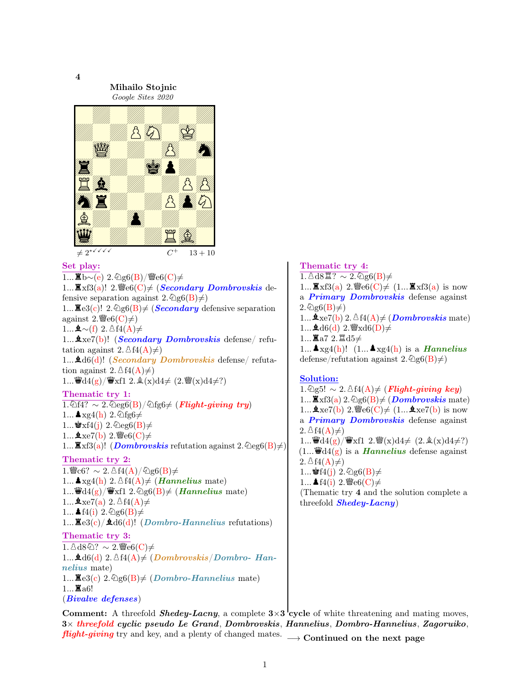

Mihailo Stojnic Google Sites 2020



 $13 + 10$ 

## Set play:

 $1...$  $\mathbf{\Sigma}$ b∼(e) 2. $\mathcal{Q}$ g6(B)/ $\mathcal{Q}$ e6(C)≠ 1...  $\mathbb{Z}$ xf3(a)! 2.  $\mathbb{Z}$ e6(C) $\neq$  (*Secondary Dombrovskis* defensive separation against  $2.\textcircled{2g6}(B)\neq$ 1...  $\mathbb{E}e3(c)!$  2.  $\mathbb{Q}g6(B) \neq$  (*Secondary* defensive separation against  $2.\mathcal{W}\in\mathcal{6}(C)\neq$  $1...$   $\Delta \sim$ (f) 2.  $\Delta$ f4(A)≠ 1...  $\Delta x e7(b)$ ! (*Secondary Dombrovskis* defense/ refutation against 2.  $\Delta f_4(A) \neq$ 1...  $\triangle$ d6(d)! (*Secondary Dombrovskis* defense/ refutation against 2.  $\Delta f_4(A) \neq$ 1... $\ddot{w}d4(g)/\ddot{w}xf1$  2.  $\&(x)d4\neq (2.\ddot{w}(x)d4\neq?)$ Thematic try 1:  $1.\text{\textcircled{a}}$ f4? ∼ 2. $\text{\textcircled{a}}$ eg $6(B)/\text{\textcircled{a}}$ fg $6\neq$  (Flight-giving try) 1...  $\triangle$  xg4(h) 2.  $\textcircled{1}$ fg6 $\neq$ 1...  $\mathbf{L} \times \mathbf{f}(\mathbf{j})$  2.  $\mathbb{Q} \times \mathbf{g}(\mathbf{B}) \neq$ 1... $\&$  xe7(b) 2.  $\&$  e6(C)  $\neq$ 1... $\mathbb{Z}$ xf3(a)! (*Dombrovskis* refutation against 2. $\mathbb{Q}$ eg6(B) $\neq$ ) Thematic try 2:

 $1.\mathcal{C}$ 6? ∼ 2.  $\Delta f4(A)/\Delta g6(B) \neq$ 1...  $\blacktriangle$  xg4(h) 2.  $\Delta f4(A) \neq$  (*Hannelius* mate) 1... $\mathbf{\ddot{w}}\mathrm{d}4(g)/\mathbf{\ddot{w}}$ xf1 2. $\mathbf{\&}g6(B)\neq$  (*Hannelius* mate) 1... $\&$  xe7(a) 2.  $\Delta f4(A) \neq$ 1...  $\triangleq$  f4(i) 2.  $\textcircled{2}$ g6(B) $\neq$ 1... $\mathbb{E}e3(c)/\mathbb{A}d6(d)!$  (Dombro-Hannelius refutations)

# Thematic try 3:

 $1.\Delta$ d8 $\textcircled{2?}$  ~ 2.  $\textcircled{2}$ e6(C)≠ 1...  $\Delta d6(d)$  2.  $\Delta f4(A) \neq (Dombrovskis/Dombro-Han$ nelius mate) 1... $\mathbb{E}e3(c)$  2.  $\mathbb{Q}g6(B) \neq$  (Dombro-Hannelius mate)  $1...$  $\Xi$ a $6!$ (Bivalve defenses)

Thematic try 4:  $1.\Delta$ d8 $\mathbb{Z}$ ? ∼ 2. $\mathbb{Q}$ g6(B)≠ 1... $\mathbf{\Xi} \times 3(a)$  2.  $\mathbf{\Psi} = 6(C) \neq (1... \mathbf{\Xi} \times 13(a))$  is now a **Primary Dombrovskis** defense against  $2.\mathcal{Q}_{\mathcal{Q}6}(B)\neq$ 1...  $\clubsuit$ xe7(b) 2.  $\triangleq$ f4(A) $\neq$  (*Dombrovskis* mate) 1...  $\triangle$ d6(d) 2.  $\angle$ xd6(D) $\neq$  $1...$ 眞a7 2. $\Xi$ d5≠ 1...  $\blacktriangle_{\text{Xg4}}(h)$ ! (1...  $\blacktriangle_{\text{Xg4}}(h)$  is a *Hannelius* defense/refutation against  $2.\textcircled{2g6}(B)\neq$ 

# Solution:

1.  $\textcircled{2g5!} \sim 2.84(A) \neq$  (Flight-giving key) 1... $\mathbf{\Xi}_{\mathrm{X}}(a)$  2.  $\mathbb{Q}_{\mathrm{g6}}(B) \neq (\textbf{Dombrovskis mate})$ 1...  $\& \text{xe7(b)}$  2.  $\text{We6(C)} \neq (1... \& \text{xe7(b)}$  is now a Primary Dombrovskis defense against  $2.\triangle$  f4(A) $\neq$ )  $1...$  $\ddot{w}d4(g)/\ddot{w}xf1$  2. $\ddot{w}(x)d4\neq (2.\&(x)d4\neq?)$  $(1...\ddot{\mathbf{w}}d4(g)$  is a *Hannelius* defense against  $2.\triangle$  f4(A) $\neq$ ) 1... **\$**f4(j) 2.  $\text{Qg6}(B) \neq$ 1...  $\triangleq$  f4(i) 2.  $\cong$  e6(C) $\neq$ (Thematic try 4 and the solution complete a threefold  $Shedey-Lacny$ )

Comment: A threefold *Shedey-Lacny*, a complete  $3\times3$  cycle of white threatening and mating moves, 3× threefold cyclic pseudo Le Grand, Dombrovskis, Hannelius, Dombro-Hannelius, Zagoruiko, flight-giving try and key, and a plenty of changed mates.  $\longrightarrow$  Continued on the next page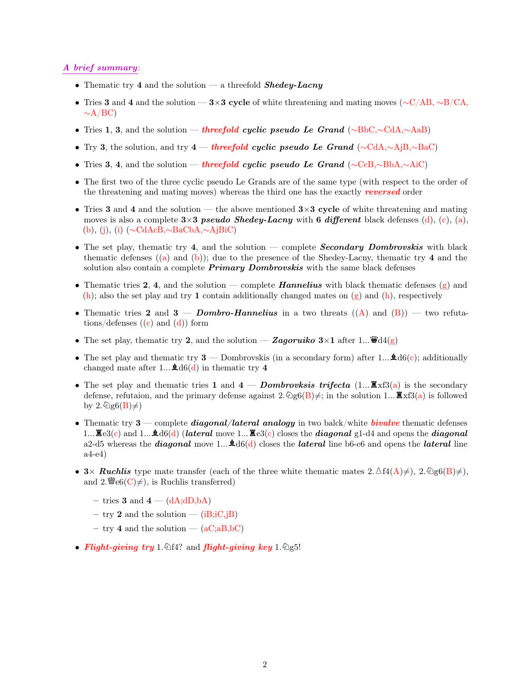### A brief summary:

- Thematic try 4 and the solution a threefold  $Shedey-Lacny$
- Tries 3 and 4 and the solution 3×3 cycle of white threatening and mating moves ( $\sim$ C/AB,  $\sim$ B/CA,  $\sim$ A/BC)
- Tries 1, 3, and the solution threefold cyclic pseudo Le Grand (∼BbC,∼CdA,∼AaB)
- Try 3, the solution, and try 4 threefold cyclic pseudo Le Grand ( $\sim$ CdA, $\sim$ AjB, $\sim$ BaC)
- Tries 3, 4, and the solution threefold cyclic pseudo Le Grand (∼CcB,∼BbA,∼AiC)
- The first two of the three cyclic pseudo Le Grands are of the same type (with respect to the order of the threatening and mating moves) whereas the third one has the exactly reversed order
- Tries 3 and 4 and the solution the above mentioned  $3\times3$  cycle of white threatening and mating moves is also a complete  $3\times3$  pseudo Shedey-Lacny with 6 different black defenses (d), (c), (a), (b), (j), (i) (∼CdAcB,∼BaCbA,∼AjBiC)
- The set play, thematic try 4, and the solution complete **Secondary Dombrovskis** with black thematic defenses  $((a)$  and  $(b)$ ); due to the presence of the Shedey-Lacny, thematic try 4 and the solution also contain a complete  $Primary$  Dombrovskis with the same black defenses
- Thematic tries 2, 4, and the solution complete **Hannelius** with black thematic defenses  $(g)$  and  $(h)$ ; also the set play and try 1 contain additionally changed mates on  $(g)$  and  $(h)$ , respectively
- Thematic tries 2 and 3 Dombro-Hannelius in a two threats  $((A)$  and  $(B))$  two refutations/defenses  $((c)$  and  $(d))$  form
- The set play, thematic try 2, and the solution Zagoruiko  $3\times1$  after 1... $\ddot{\mathbf{w}}\mathbf{d4(g)}$
- The set play and thematic try  $3$  Dombrovskis (in a secondary form) after 1...  $\mathbf{\hat{A}}d6(c)$ ; additionally changed mate after 1...  $\triangle 16(d)$  in thematic try 4
- The set play and thematic tries 1 and  $4 -$  Dombrovksis trifecta (1...  $\mathbb{E} \times S(a)$ ) is the secondary defense, refutaion, and the primary defense against  $2.\text{Qg6}(B)\neq$ ; in the solution 1...  $\mathbb{Z}x3(a)$  is followed by  $2.\text{\textcircled{a}}(B)\neq$
- Thematic try  $3$  complete *diagonal/lateral analogy* in two balck/white *bivalve* thematic defenses 1...  $\mathbb{E}e3(c)$  and 1...  $\mathbb{E}d6(d)$  (lateral move 1...  $\mathbb{E}e3(c)$  closes the diagonal g1-d4 and opens the diagonal a2-d5 whereas the *diagonal* move 1...  $\mathbf{\hat{A}}d6(d)$  closes the *lateral* line b6-e6 and opens the *lateral* line a4-e4)
- 3× Ruchlis type mate transfer (each of the three white thematic mates  $2.\Delta f4(A)\neq$ ),  $2.\Delta g6(B)\neq$ ), and 2. $\mathscr{L}(\mathbb{C})\neq$ , is Ruchlis transferred)
	- tries 3 and  $4 (dA; dD, bA)$
	- try 2 and the solution  $(iB; iC, jB)$
	- try 4 and the solution  $(aC; aB, bC)$
- Flight-giving try 1.  $\triangle 4$ ? and flight-giving key 1.  $\triangle$ g5!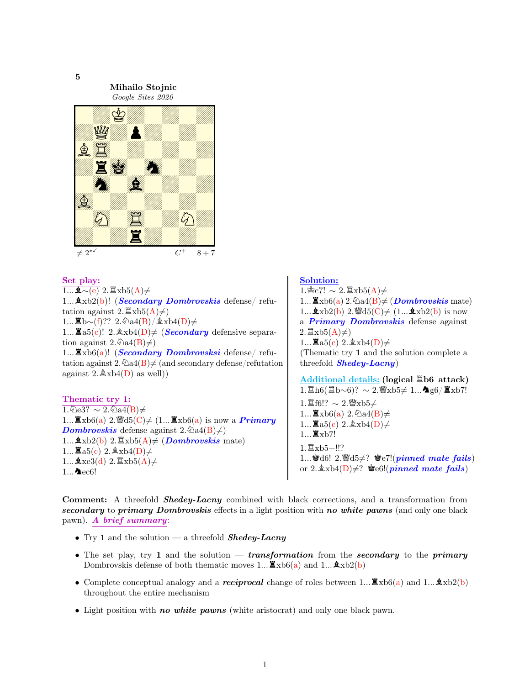

#### Set play:

 $\overline{1...\mathbf{\&}\sim\!{\rm (e)}}$  2.  $\mathbb{Z}\text{xb5(A)}\neq$ 1...  $\mathbf{\hat{\Phi}}$ xb2(b)! (*Secondary Dombrovskis* defense/ refutation against  $2.\Xi$ xb5(A) $\neq$ )  $1...$  $\mathbf{\mathbb{E}}$ b∼(f)?? 2. $\mathbf{\mathbb{Q}}$ a4(B)/ $\mathbf{\mathbb{A}}$ xb4(D)≠ 1... $\Xi$ a5(c)! 2. $\&$ xb4(D) $\neq$  (*Secondary* defensive separation against  $2.\overline{\otimes}a4(B)\neq)$  $1...$   $\mathbb{Z}$ xb $6(a)!$  (*Secondary Dombrovsksi* defense/ refutation against  $2.\overline{\bigcirc}$  a4(B) $\neq$  (and secondary defense/refutation against  $2.\&\text{xb4}(D)$  as well)

Thematic try 1:  $1.\overline{^2}$ e3? ∼ 2. $\overline{^2}$ a4(B)≠ 1... $\mathbf{\Xi}_{\mathrm{X}}$ b6(a) 2. $\mathcal{C}_{\mathrm{0}}$ d5(C) $\neq$  (1... $\mathbf{\Xi}_{\mathrm{X}}$ b6(a) is now a *Primary* **Dombrovskis** defense against  $2.\overline{\&}$  a4(B) $\neq$ ) 1...  $\Delta x b2(b)$  2.  $\mathbb{Z} x b5(A) \neq (Dombrovskis \text{ mate})$ 1... $\mathbf{\Xi}$ a5(c) 2. $\&$ xb4(D) $\neq$  $1...\triangle$ xe3(d) 2. $\triangleq$ xb5(A) $\neq$  $1...$   $\blacktriangle$  ec6!

Solution:

 $1.\n\&c7! \sim 2.\n\mathbb{I}\times55(A) \neq$ 1... $\mathbf{\Xi}_{\mathrm{X}}$ b $6(a)$  2. $\mathcal{Q}_{\mathrm{a}}$  $4(B) \neq (Dombrovskis \mathrm{mate})$ 1... $\mathbf{\&}\mathrm{xb2(b)}$  2. @d5(C)  $\neq$  (1... $\mathbf{\&}\mathrm{xb2(b)}$ ) is now a **Primary Dombrovskis** defense against  $2.\Xi$ xb5(A) $\neq$ ) 1...  $\mathbf{\Xi}_{a5(c)}$  2.  $\&$   $xb4(D) \neq$ (Thematic try 1 and the solution complete a threefold  $Shedey-Lacny$ Additional details: (logical  $E$ b6 attack)  $1.\Xi\hbox{h}6(\Xi\hbox{b}\sim6)? \sim 2.\Psi\hbox{xb}5\neq 1...\blacktriangleleft g6/\Xi\hbox{xb}7!$ 1. $E$ f6!? ∼ 2. $E$ xb5≠ 1... $\mathbf{\Xi}_{\mathrm{xb6(a)}}$  2.  $\mathbb{\Delta}$ a4(B) $\neq$ 1...  $\mathbf{\Xi}_{a5(c)}$  2.  $\&$   $xb4(D) \neq$ 

 $1...$  $\Xi$ xb7!  $1.\Xi$ xb5+!!? 1... 166! 2.  $\ddot{\mathbf{w}}$ d5 $\neq$ ? ke7!(*pinned mate fails*) or 2. $\&$ xb4(D) $\neq$ ?  $\&$ e6!(*pinned mate fails*)

Comment: A threefold **Shedey-Lacny** combined with black corrections, and a transformation from secondary to primary Dombrovskis effects in a light position with no white pawns (and only one black pawn). A brief summary:

- Try 1 and the solution a threefold **Shedey-Lacny**
- The set play, try 1 and the solution transformation from the secondary to the primary Dombrovskis defense of both thematic moves 1...  $\mathbf{\Xi}_{\mathbf{X}}$  and 1...  $\mathbf{\Lambda}_{\mathbf{X}}$  b2(b)
- Complete conceptual analogy and a *reciprocal* change of roles between 1... $\mathbf{\mathbb{E}} \times b(1a)$  and 1... $\mathbf{\mathbb{E}} \times b(2(b))$ throughout the entire mechanism
- Light position with *no white pawns* (white aristocrat) and only one black pawn.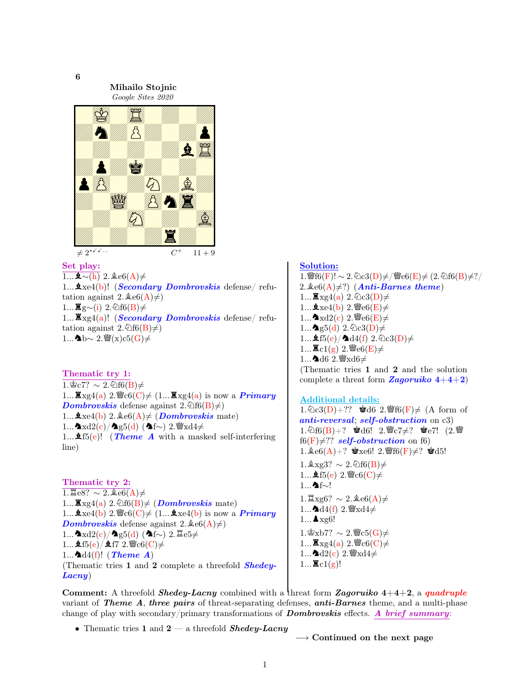6

Mihailo Stojnic

Google Sites 2020



 $11 + 9$ 

# Set play:

 $\overline{1... \clubsuit \sim(h)}$  2.  $\triangleq e6(A) \neq$ 1...  $\Delta$ xe4(b)! (*Secondary Dombrovskis* defense/ refutation against  $2.\triangleleft e6(A) \neq 0$  $1...$   $\mathbb{Z}$  g∼(i) 2.  $\textcircled{1}$ f6(B)≠ 1... $\mathbb{Z}_{X}$ g4(a)! (Secondary Dombrovskis defense/ refutation against  $2.\textcircled{f}6(B)\neq$ 1...∧b∼ 2. $\mathscr{W}(x)c5(G)$ ≠

Thematic try 1:

1.  $\text{C}$ 67? ~ 2.  $\text{O}$ f6(B)≠ 1... $\mathbb{Z} \times g4(a)$  2.  $\mathbb{Z} \times c6(C) \neq (1... \mathbb{Z} \times g4(a))$  is now a *Primary* **Dombrovskis** defense against  $2.\mathcal{Q}(6)(B) \neq 0$ 1...  $\Delta x e4(b)$  2.  $\Delta e6(A) \neq (Dombrovskis \text{ mate})$  $1...$ うxd2(c)/うg5(d) (うf∼) 2. $\mathscr{C}$ xd4≠ 1...  $\text{4f5}(e)!$  (*Theme A* with a masked self-interfering line)

Thematic try 2:  $1.\n \mathbb{E}e8? \sim 2.\n \& e6(A) \neq$ 1... $\mathbb{Z} \times \mathbb{Z}$  (a) 2.  $\textcircled{if}6(B) \neq (Dombrovskis \text{ mate})$ 1... $\Delta x e4(b)$  2.  $\mathscr{C}c6(C) \neq (1... \Delta x e4(b))$  is now a *Primary* **Dombrovskis** defense against  $2.\triangleleft e6(A) \neq 0$  $1...$ ヘ $xd2(c)/$ ヘ $g5(d)$  (ヘ $f~$ ) 2. $Ee5\neq$  $1...$   $f5(e)/f7$   $2.$  sec $6(C) \neq$ 1... $\Delta d4(f)$ ! (Theme A) (Thematic tries 1 and 2 complete a threefold Shedey-Lacny)

Solution: 1.  $\mathscr{W}$ f6(F)! ∼ 2. ⊘c3(D)≠/ $\mathscr{W}$ e6(E)≠ (2. ⊘f6(B)≠?/ 2.  $\&e6(A) \neq ?$  (Anti-Barnes theme) 1...  $\mathbb{Z}_{\text{Xg4(a)}}$  2.  $\mathbb{Q}_c3(D) \neq$ 1...  $\&$  xe4(b) 2.  $\mathscr{C}\text{e}6(E) \neq$ 1... $\triangleleft$ xd2(c) 2.  $\triangleleft$ e6(E) $\neq$ 1... $\triangleq$ g5(d) 2. $\triangleq$ c3(D) $\neq$ 1...  $\pmb{\text{A}}$ f5(e)/ $\pmb{\text{A}}$ d4(f) 2. $\text{Qc3}(D) \neq$ 1... $\mathbb{E} \text{cl}(g)$  2.  $\mathbb{E} \text{e} \cdot 6(E) \neq$ 1...  $\triangle$ d6 2.  $\mathscr{W}$ xd6≠ (Thematic tries 1 and 2 and the solution complete a threat form **Zagoruiko**  $4+4+2$ 

# Additional details:

1.  $\&c3(D) + ?$  \*d6 2.  $\mathscr{G}f6(F) \neq (A \text{ form of }$ anti-reversal; self-obstruction on c3) 1.  $1.66(B) + ?$  \*d6! 2.  $C7 \neq ?$  \*e7! (2.  $\mathbb{F}$ f6(F) $\neq$ ?? self-obstruction on f6) 1. $\text{\&e6}(A)+?$  \* xe6! 2. f6(F)  $\neq$ ? \* d5!  $1.\&\text{xg3?} \sim 2.\&\text{f6(B)}\neq$ 1...  $\text{4f5}(e)$  2.  $\text{C}$ <sub>6</sub>(C)  $\neq$ 1...**^**nf∼!  $1.\nXi$ xg6? ∼ 2.  $\&e6(A) \neq$ 1... $\triangle 4(f)$  2.  $\cong$   $xd4\neq$ 1...  $\triangle$  xg6!  $1.\n$ gxb7? ∼ 2. $\mathscr{C}$ c5(G)≠ 1...  $\mathbb{Z} \times$ g4(a) 2. $\mathscr{C}$ c6(C) $\neq$ 1... $\triangle d2(c)$  2.  $\angle$ xd4 $\neq$  $1...$   $\mathbb{E} c1(g)!$ 

Comment: A threefold *Shedey-Lacny* combined with a threat form *Zagoruiko*  $4+4+2$ , a *quadruple* variant of **Theme A, three pairs** of threat-separating defenses,  $anti-Barnes$  theme, and a multi-phase change of play with secondary/primary transformations of **Dombrovskis** effects. A brief summary:

• Thematic tries 1 and  $2 - a$  threefold *Shedey-Lacny* 

 $\rightarrow$  Continued on the next page